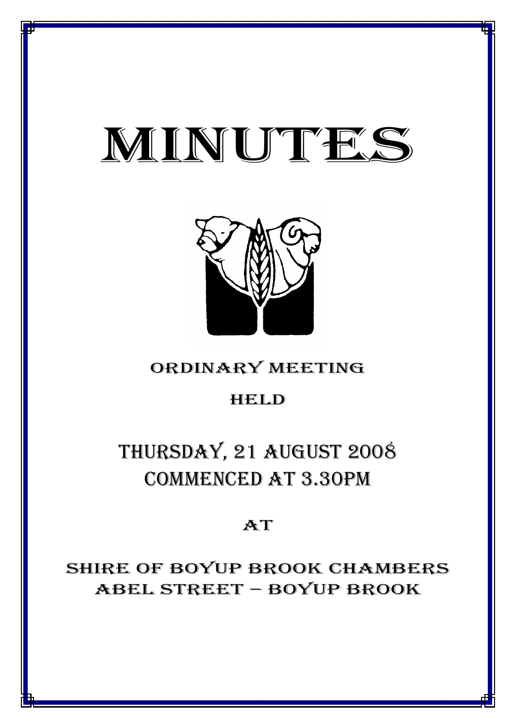# MINUTES

*MINUTES OF THE ORDINARY MEETING OF COUNCIL HELD ON 21 AUGUST 2008*



# ORDINARY MEETING

# HELD

# THURSDAY, 21 AUGUST 2008 COMMENCED AT 3.30PM

# AT

SHIRE OF BOYUP BROOK CHAMBERS ABEL STREET – BOYUP BROOK

<u>1941 - Johann John Barn, mars ar breis an t-Amerikaansk politiker (</u>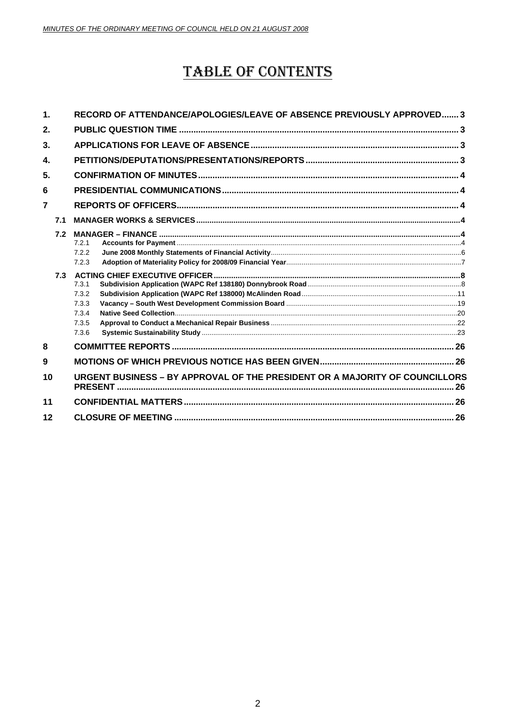# **TABLE OF CONTENTS**

| $\mathbf 1$ .  |                | RECORD OF ATTENDANCE/APOLOGIES/LEAVE OF ABSENCE PREVIOUSLY APPROVED 3       |  |  |
|----------------|----------------|-----------------------------------------------------------------------------|--|--|
| 2.             |                |                                                                             |  |  |
| 3.             |                |                                                                             |  |  |
| $\mathbf{4}$   |                |                                                                             |  |  |
| 5.             |                |                                                                             |  |  |
| 6              |                |                                                                             |  |  |
| $\overline{7}$ |                |                                                                             |  |  |
|                | 7 <sub>1</sub> |                                                                             |  |  |
|                | 7.3            | 7.2.1<br>7.2.2<br>7.2.3<br>7.3.1                                            |  |  |
|                |                | 7.3.2<br>7.3.3<br>7.3.4<br>7.3.5<br>7.3.6                                   |  |  |
| 8              |                |                                                                             |  |  |
| 9              |                |                                                                             |  |  |
| 10             |                | URGENT BUSINESS - BY APPROVAL OF THE PRESIDENT OR A MAJORITY OF COUNCILLORS |  |  |
| 11             |                |                                                                             |  |  |
| 12             |                |                                                                             |  |  |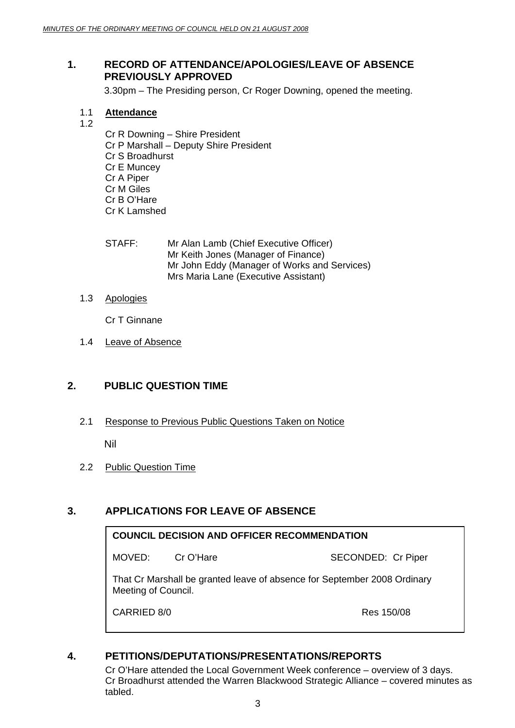# **1. RECORD OF ATTENDANCE/APOLOGIES/LEAVE OF ABSENCE PREVIOUSLY APPROVED**

3.30pm – The Presiding person, Cr Roger Downing, opened the meeting.

- 1.1 **Attendance**
- 1.2
- Cr R Downing Shire President
- Cr P Marshall Deputy Shire President
- Cr S Broadhurst
- Cr E Muncey
- Cr A Piper
- Cr M Giles
- Cr B O'Hare
- Cr K Lamshed
- STAFF: Mr Alan Lamb (Chief Executive Officer) Mr Keith Jones (Manager of Finance) Mr John Eddy (Manager of Works and Services) Mrs Maria Lane (Executive Assistant)
- 1.3 Apologies

Cr T Ginnane

1.4 Leave of Absence

# **2. PUBLIC QUESTION TIME**

2.1 Response to Previous Public Questions Taken on Notice

Nil

2.2 Public Question Time

# **3. APPLICATIONS FOR LEAVE OF ABSENCE**

# **COUNCIL DECISION AND OFFICER RECOMMENDATION**

MOVED: Cr O'Hare SECONDED: Cr Piper

That Cr Marshall be granted leave of absence for September 2008 Ordinary Meeting of Council.

CARRIED 8/0 **Res 150/08** 

# **4. PETITIONS/DEPUTATIONS/PRESENTATIONS/REPORTS**

 Cr O'Hare attended the Local Government Week conference – overview of 3 days. Cr Broadhurst attended the Warren Blackwood Strategic Alliance – covered minutes as tabled.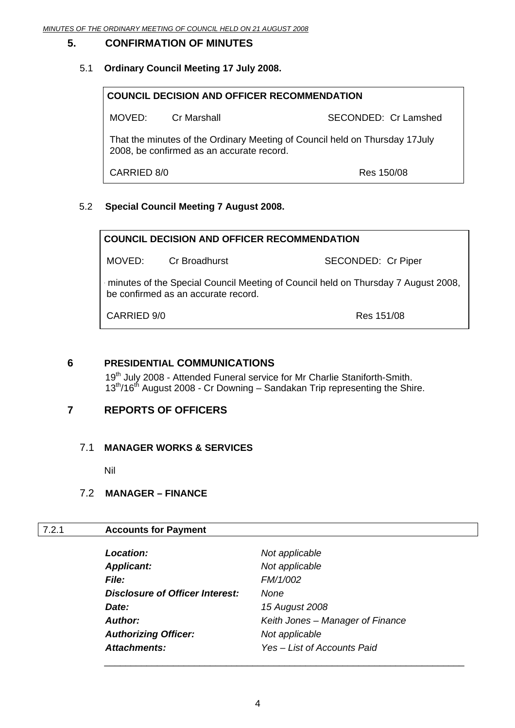# **5. CONFIRMATION OF MINUTES**

# 5.1 **Ordinary Council Meeting 17 July 2008.**

| <b>COUNCIL DECISION AND OFFICER RECOMMENDATION</b>                                                                        |             |                      |
|---------------------------------------------------------------------------------------------------------------------------|-------------|----------------------|
| MOVED:                                                                                                                    | Cr Marshall | SECONDED: Cr Lamshed |
| That the minutes of the Ordinary Meeting of Council held on Thursday 17 July<br>2008, be confirmed as an accurate record. |             |                      |
| CARRIED 8/0<br>Res 150/08                                                                                                 |             |                      |

# 5.2 **Special Council Meeting 7 August 2008.**

| <b>COUNCIL DECISION AND OFFICER RECOMMENDATION</b>                                                                       |                      |                    |
|--------------------------------------------------------------------------------------------------------------------------|----------------------|--------------------|
|                                                                                                                          | MOVED: Cr Broadhurst | SECONDED: Cr Piper |
| minutes of the Special Council Meeting of Council held on Thursday 7 August 2008,<br>be confirmed as an accurate record. |                      |                    |
| CARRIED 9/0<br>Res 151/08                                                                                                |                      |                    |

# **6 PRESIDENTIAL COMMUNICATIONS**

19<sup>th</sup> July 2008 - Attended Funeral service for Mr Charlie Staniforth-Smith.  $13<sup>th</sup>/16<sup>th</sup>$  August 2008 - Cr Downing – Sandakan Trip representing the Shire.

# **7 REPORTS OF OFFICERS**

# 7.1 **MANAGER WORKS & SERVICES**

Nil

# 7.2 **MANAGER – FINANCE**

# 7.2.1 **Accounts for Payment**

| <b>Location:</b>                | Not applicable                   |
|---------------------------------|----------------------------------|
| <b>Applicant:</b>               | Not applicable                   |
| <b>File:</b>                    | FM/1/002                         |
| Disclosure of Officer Interest: | <b>None</b>                      |
| Date:                           | 15 August 2008                   |
| Author:                         | Keith Jones - Manager of Finance |
| <b>Authorizing Officer:</b>     | Not applicable                   |
| Attachments:                    | Yes - List of Accounts Paid      |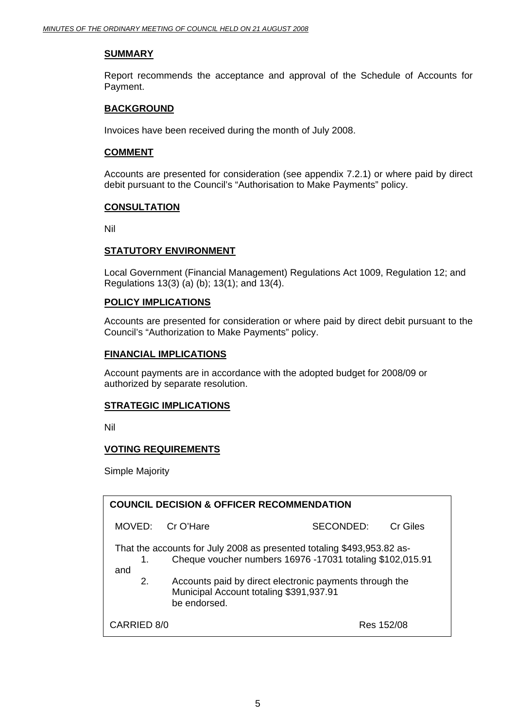# **SUMMARY**

Report recommends the acceptance and approval of the Schedule of Accounts for Payment.

#### **BACKGROUND**

Invoices have been received during the month of July 2008.

#### **COMMENT**

Accounts are presented for consideration (see appendix 7.2.1) or where paid by direct debit pursuant to the Council's "Authorisation to Make Payments" policy.

#### **CONSULTATION**

Nil

#### **STATUTORY ENVIRONMENT**

 Local Government (Financial Management) Regulations Act 1009, Regulation 12; and Regulations 13(3) (a) (b); 13(1); and 13(4).

#### **POLICY IMPLICATIONS**

Accounts are presented for consideration or where paid by direct debit pursuant to the Council's "Authorization to Make Payments" policy.

#### **FINANCIAL IMPLICATIONS**

Account payments are in accordance with the adopted budget for 2008/09 or authorized by separate resolution.

#### **STRATEGIC IMPLICATIONS**

Nil

# **VOTING REQUIREMENTS**

Simple Majority

| <b>COUNCIL DECISION &amp; OFFICER RECOMMENDATION</b>                                                                                                                                                                                                                         |                  |           |          |
|------------------------------------------------------------------------------------------------------------------------------------------------------------------------------------------------------------------------------------------------------------------------------|------------------|-----------|----------|
|                                                                                                                                                                                                                                                                              | MOVED: Cr O'Hare | SECONDED: | Cr Giles |
| That the accounts for July 2008 as presented totaling \$493,953.82 as-<br>Cheque voucher numbers 16976 -17031 totaling \$102,015.91<br>1.<br>and<br>2.<br>Accounts paid by direct electronic payments through the<br>Municipal Account totaling \$391,937.91<br>be endorsed. |                  |           |          |
| CARRIED 8/0<br>Res 152/08                                                                                                                                                                                                                                                    |                  |           |          |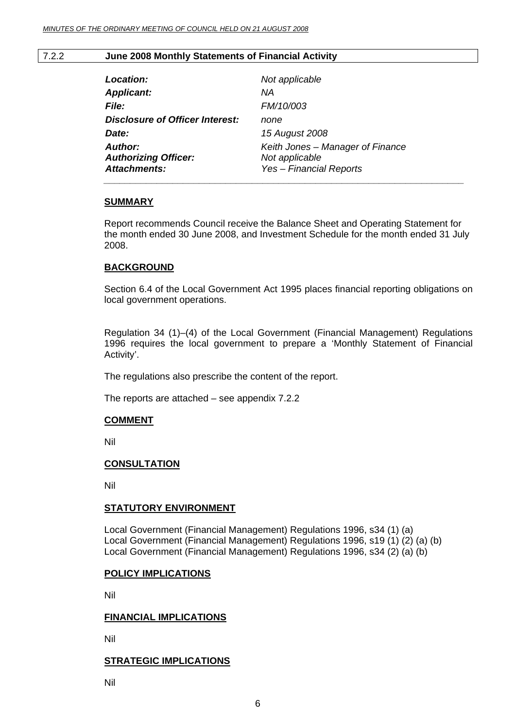#### 7.2.2 **June 2008 Monthly Statements of Financial Activity**

| Location:                              | Not applicable                   |
|----------------------------------------|----------------------------------|
| <b>Applicant:</b>                      | NА                               |
| <i>File:</i>                           | <b>FM/10/003</b>                 |
| <b>Disclosure of Officer Interest:</b> | none                             |
| Date:                                  | 15 August 2008                   |
| <b>Author:</b>                         | Keith Jones - Manager of Finance |
| <b>Authorizing Officer:</b>            | Not applicable                   |
| <b>Attachments:</b>                    | Yes - Financial Reports          |
|                                        |                                  |

#### **SUMMARY**

Report recommends Council receive the Balance Sheet and Operating Statement for the month ended 30 June 2008, and Investment Schedule for the month ended 31 July 2008.

#### **BACKGROUND**

Section 6.4 of the Local Government Act 1995 places financial reporting obligations on local government operations.

Regulation 34 (1)–(4) of the Local Government (Financial Management) Regulations 1996 requires the local government to prepare a 'Monthly Statement of Financial Activity'.

The regulations also prescribe the content of the report.

The reports are attached – see appendix 7.2.2

# **COMMENT**

Nil

# **CONSULTATION**

Nil

# **STATUTORY ENVIRONMENT**

Local Government (Financial Management) Regulations 1996, s34 (1) (a) Local Government (Financial Management) Regulations 1996, s19 (1) (2) (a) (b) Local Government (Financial Management) Regulations 1996, s34 (2) (a) (b)

# **POLICY IMPLICATIONS**

Nil

#### **FINANCIAL IMPLICATIONS**

Nil

#### **STRATEGIC IMPLICATIONS**

Nil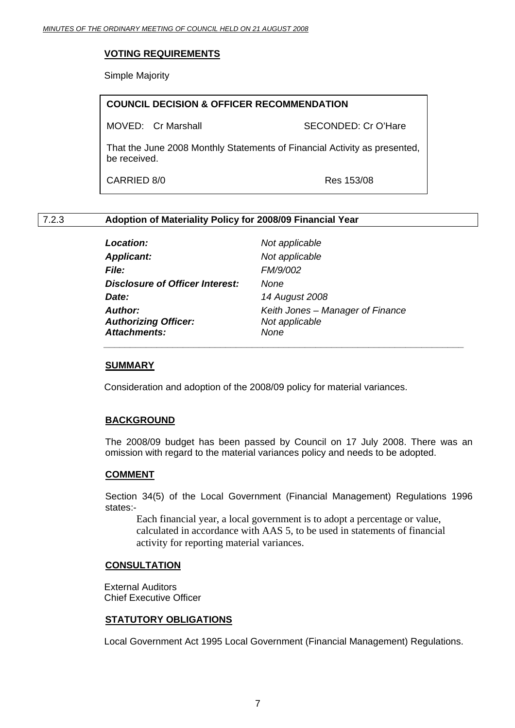# **VOTING REQUIREMENTS**

Simple Majority

|              | <b>COUNCIL DECISION &amp; OFFICER RECOMMENDATION</b>                      |                     |
|--------------|---------------------------------------------------------------------------|---------------------|
|              | MOVED: Cr Marshall                                                        | SECONDED: Cr O'Hare |
| be received. | That the June 2008 Monthly Statements of Financial Activity as presented, |                     |
| CARRIED 8/0  |                                                                           | Res 153/08          |

# 7.2.3 **Adoption of Materiality Policy for 2008/09 Financial Year**

| <b>Location:</b>                       | Not a <sub>l</sub> |
|----------------------------------------|--------------------|
| <b>Applicant:</b>                      | Not al             |
| <i><b>File:</b></i>                    | <b>FM/9/</b>       |
| <b>Disclosure of Officer Interest:</b> | None               |
| Date:                                  | 14 Au              |
| <b>Author:</b>                         | Keith <i>K</i>     |
| <b>Authorizing Officer:</b>            | Not al             |
| <b>Attachments:</b>                    | None               |

 *Location: Not applicable Applicant: Not applicable File: FM/9/002 Date: 14 August 2008 Author: Keith Jones – Manager of Finance Authorizing Officer: Not applicable \_\_\_\_\_\_\_\_\_\_\_\_\_\_\_\_\_\_\_\_\_\_\_\_\_\_\_\_\_\_\_\_\_\_\_\_\_\_\_\_\_\_\_\_\_\_\_\_\_\_\_\_\_\_\_\_\_\_\_\_\_\_\_\_\_\_\_\_* 

# **SUMMARY**

Consideration and adoption of the 2008/09 policy for material variances.

# **BACKGROUND**

The 2008/09 budget has been passed by Council on 17 July 2008. There was an omission with regard to the material variances policy and needs to be adopted.

# **COMMENT**

Section 34(5) of the Local Government (Financial Management) Regulations 1996 states:-

Each financial year, a local government is to adopt a percentage or value, calculated in accordance with AAS 5, to be used in statements of financial activity for reporting material variances.

# **CONSULTATION**

 External Auditors Chief Executive Officer

# **STATUTORY OBLIGATIONS**

Local Government Act 1995 Local Government (Financial Management) Regulations.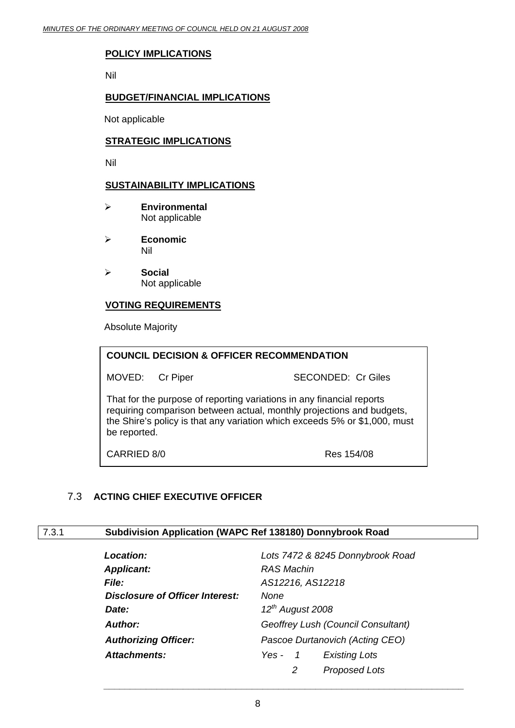# **POLICY IMPLICATIONS**

Nil

# **BUDGET/FINANCIAL IMPLICATIONS**

Not applicable

# **STRATEGIC IMPLICATIONS**

Nil

# **SUSTAINABILITY IMPLICATIONS**

- ¾ **Environmental**  Not applicable
- ¾ **Economic**  Nil
- ¾ **Social**  Not applicable

# **VOTING REQUIREMENTS**

Absolute Majority

| <b>COUNCIL DECISION &amp; OFFICER RECOMMENDATION</b>                                                                                                                                                                                         |                 |                           |
|----------------------------------------------------------------------------------------------------------------------------------------------------------------------------------------------------------------------------------------------|-----------------|---------------------------|
|                                                                                                                                                                                                                                              | MOVED: Cr Piper | <b>SECONDED: Cr Giles</b> |
| That for the purpose of reporting variations in any financial reports<br>requiring comparison between actual, monthly projections and budgets,<br>the Shire's policy is that any variation which exceeds 5% or \$1,000, must<br>be reported. |                 |                           |

CARRIED 8/0 Res 154/08

# 7.3 **ACTING CHIEF EXECUTIVE OFFICER**

# 7.3.1 **Subdivision Application (WAPC Ref 138180) Donnybrook Road**

| <b>Location:</b>                | Lots 7472 & 8245 Donnybrook Road                |  |
|---------------------------------|-------------------------------------------------|--|
| <b>Applicant:</b>               | <b>RAS Machin</b>                               |  |
| <b>File:</b>                    | AS12216, AS12218                                |  |
| Disclosure of Officer Interest: | None                                            |  |
| Date:                           | $12^{th}$ August 2008                           |  |
| <b>Author:</b>                  | Geoffrey Lush (Council Consultant)              |  |
| <b>Authorizing Officer:</b>     | Pascoe Durtanovich (Acting CEO)                 |  |
| <b>Attachments:</b>             | <b>Existing Lots</b><br>Yes -<br>$\overline{1}$ |  |
|                                 | 2<br><b>Proposed Lots</b>                       |  |

 $\bar{a}$  ,  $\bar{a}$  ,  $\bar{a}$  ,  $\bar{a}$  ,  $\bar{a}$  ,  $\bar{a}$  ,  $\bar{a}$  ,  $\bar{a}$  ,  $\bar{a}$  ,  $\bar{a}$  ,  $\bar{a}$  ,  $\bar{a}$  ,  $\bar{a}$  ,  $\bar{a}$  ,  $\bar{a}$  ,  $\bar{a}$  ,  $\bar{a}$  ,  $\bar{a}$  ,  $\bar{a}$  ,  $\bar{a}$  ,  $\bar{a}$  ,  $\bar{a}$  ,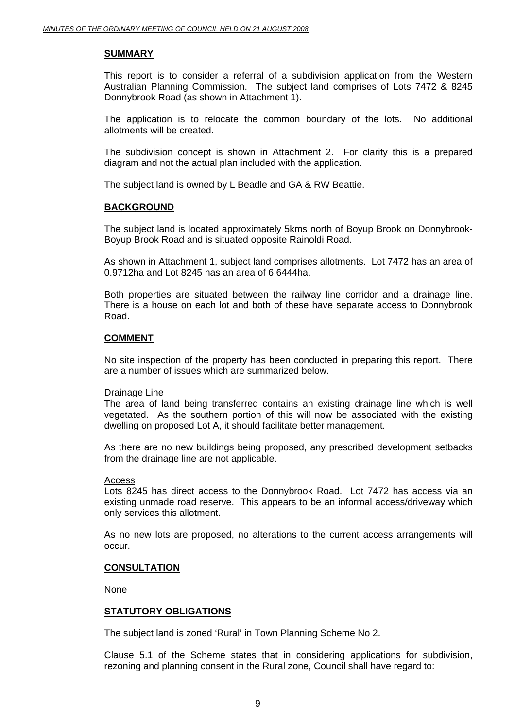#### **SUMMARY**

This report is to consider a referral of a subdivision application from the Western Australian Planning Commission. The subject land comprises of Lots 7472 & 8245 Donnybrook Road (as shown in Attachment 1).

The application is to relocate the common boundary of the lots. No additional allotments will be created.

The subdivision concept is shown in Attachment 2. For clarity this is a prepared diagram and not the actual plan included with the application.

The subject land is owned by L Beadle and GA & RW Beattie.

#### **BACKGROUND**

The subject land is located approximately 5kms north of Boyup Brook on Donnybrook-Boyup Brook Road and is situated opposite Rainoldi Road.

As shown in Attachment 1, subject land comprises allotments. Lot 7472 has an area of 0.9712ha and Lot 8245 has an area of 6.6444ha.

Both properties are situated between the railway line corridor and a drainage line. There is a house on each lot and both of these have separate access to Donnybrook Road.

#### **COMMENT**

No site inspection of the property has been conducted in preparing this report. There are a number of issues which are summarized below.

#### Drainage Line

The area of land being transferred contains an existing drainage line which is well vegetated. As the southern portion of this will now be associated with the existing dwelling on proposed Lot A, it should facilitate better management.

As there are no new buildings being proposed, any prescribed development setbacks from the drainage line are not applicable.

#### Access

Lots 8245 has direct access to the Donnybrook Road. Lot 7472 has access via an existing unmade road reserve. This appears to be an informal access/driveway which only services this allotment.

As no new lots are proposed, no alterations to the current access arrangements will occur.

#### **CONSULTATION**

None

#### **STATUTORY OBLIGATIONS**

The subject land is zoned 'Rural' in Town Planning Scheme No 2.

Clause 5.1 of the Scheme states that in considering applications for subdivision, rezoning and planning consent in the Rural zone, Council shall have regard to: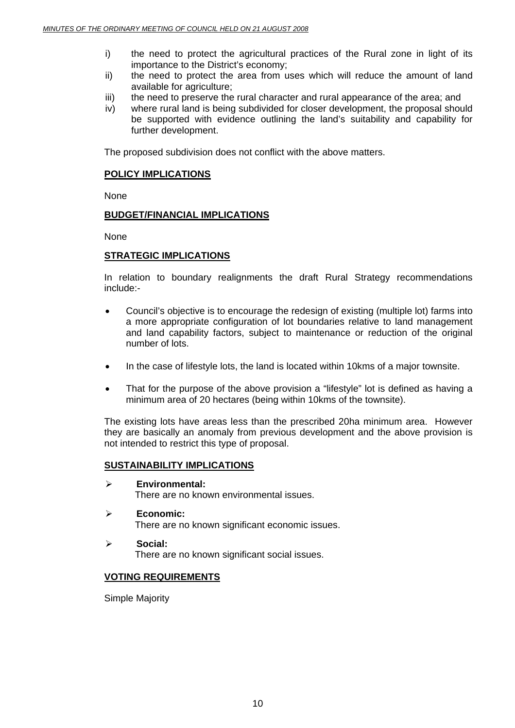- i) the need to protect the agricultural practices of the Rural zone in light of its importance to the District's economy;
- ii) the need to protect the area from uses which will reduce the amount of land available for agriculture;
- iii) the need to preserve the rural character and rural appearance of the area; and
- iv) where rural land is being subdivided for closer development, the proposal should be supported with evidence outlining the land's suitability and capability for further development.

The proposed subdivision does not conflict with the above matters.

### **POLICY IMPLICATIONS**

None

#### **BUDGET/FINANCIAL IMPLICATIONS**

None

# **STRATEGIC IMPLICATIONS**

In relation to boundary realignments the draft Rural Strategy recommendations include:-

- Council's objective is to encourage the redesign of existing (multiple lot) farms into a more appropriate configuration of lot boundaries relative to land management and land capability factors, subject to maintenance or reduction of the original number of lots.
- In the case of lifestyle lots, the land is located within 10kms of a major townsite.
- That for the purpose of the above provision a "lifestyle" lot is defined as having a minimum area of 20 hectares (being within 10kms of the townsite).

The existing lots have areas less than the prescribed 20ha minimum area. However they are basically an anomaly from previous development and the above provision is not intended to restrict this type of proposal.

# **SUSTAINABILITY IMPLICATIONS**

- ¾ **Environmental:**  There are no known environmental issues.
- ¾ **Economic:**  There are no known significant economic issues.
- ¾ **Social:**  There are no known significant social issues.

# **VOTING REQUIREMENTS**

Simple Majority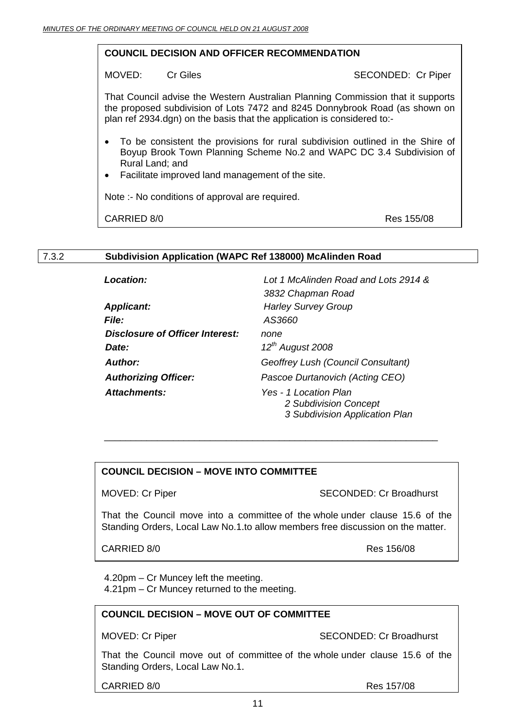#### **COUNCIL DECISION AND OFFICER RECOMMENDATION**

MOVED: Cr Giles Cr Cr Sick Cr Piper

That Council advise the Western Australian Planning Commission that it supports the proposed subdivision of Lots 7472 and 8245 Donnybrook Road (as shown on plan ref 2934.dgn) on the basis that the application is considered to:-

- To be consistent the provisions for rural subdivision outlined in the Shire of Boyup Brook Town Planning Scheme No.2 and WAPC DC 3.4 Subdivision of Rural Land; and
- Facilitate improved land management of the site.

Note :- No conditions of approval are required.

CARRIED 8/0 Res 155/08

#### 7.3.2 **Subdivision Application (WAPC Ref 138000) McAlinden Road**

| <b>Location:</b>                | Lot 1 McAlinden Road and Lots 2914 &                                             |
|---------------------------------|----------------------------------------------------------------------------------|
|                                 | 3832 Chapman Road                                                                |
| <b>Applicant:</b>               | <b>Harley Survey Group</b>                                                       |
| <i>File:</i>                    | AS3660                                                                           |
| Disclosure of Officer Interest: | none                                                                             |
| Date:                           | $12^{th}$ August 2008                                                            |
| <b>Author:</b>                  | Geoffrey Lush (Council Consultant)                                               |
| <b>Authorizing Officer:</b>     | Pascoe Durtanovich (Acting CEO)                                                  |
| <b>Attachments:</b>             | Yes - 1 Location Plan<br>2 Subdivision Concept<br>3 Subdivision Application Plan |

\_\_\_\_\_\_\_\_\_\_\_\_\_\_\_\_\_\_\_\_\_\_\_\_\_\_\_\_\_\_\_\_\_\_\_\_\_\_\_\_\_\_\_\_\_\_\_\_\_\_\_\_\_\_\_\_\_\_\_\_\_\_\_

# **COUNCIL DECISION – MOVE INTO COMMITTEE**

MOVED: Cr Piper SECONDED: Cr Broadhurst

That the Council move into a committee of the whole under clause 15.6 of the Standing Orders, Local Law No.1.to allow members free discussion on the matter.

CARRIED 8/0 Res 156/08

 4.20pm – Cr Muncey left the meeting. 4.21pm – Cr Muncey returned to the meeting.

#### **COUNCIL DECISION – MOVE OUT OF COMMITTEE**

MOVED: Cr Piper SECONDED: Cr Broadhurst

That the Council move out of committee of the whole under clause 15.6 of the Standing Orders, Local Law No.1.

CARRIED 8/0 Res 157/08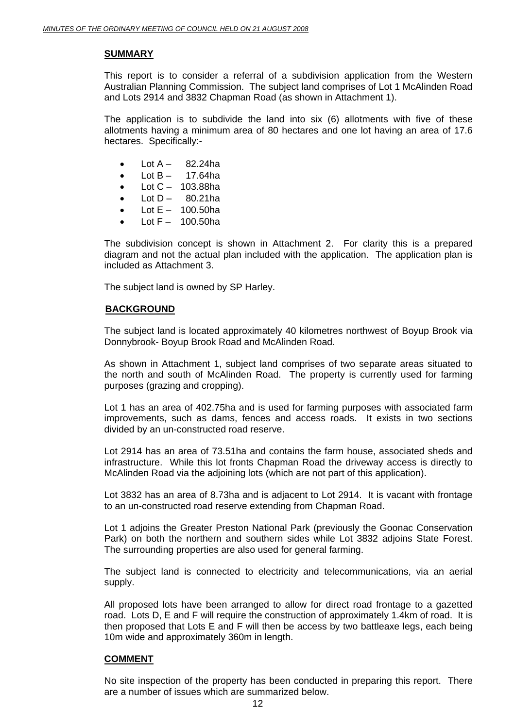#### **SUMMARY**

This report is to consider a referral of a subdivision application from the Western Australian Planning Commission. The subject land comprises of Lot 1 McAlinden Road and Lots 2914 and 3832 Chapman Road (as shown in Attachment 1).

The application is to subdivide the land into six (6) allotments with five of these allotments having a minimum area of 80 hectares and one lot having an area of 17.6 hectares. Specifically:-

- Lot  $A 82.24$ ha
- Lot  $B 17.64$ ha
- $\bullet$  Lot C 103.88ha
- $\bullet$  Lot D 80.21ha
- $\bullet$  Lot E 100.50ha
- Lot  $F 100.50$ ha

The subdivision concept is shown in Attachment 2. For clarity this is a prepared diagram and not the actual plan included with the application. The application plan is included as Attachment 3.

The subject land is owned by SP Harley.

# **BACKGROUND**

The subject land is located approximately 40 kilometres northwest of Boyup Brook via Donnybrook- Boyup Brook Road and McAlinden Road.

As shown in Attachment 1, subject land comprises of two separate areas situated to the north and south of McAlinden Road. The property is currently used for farming purposes (grazing and cropping).

Lot 1 has an area of 402.75ha and is used for farming purposes with associated farm improvements, such as dams, fences and access roads. It exists in two sections divided by an un-constructed road reserve.

Lot 2914 has an area of 73.51ha and contains the farm house, associated sheds and infrastructure. While this lot fronts Chapman Road the driveway access is directly to McAlinden Road via the adjoining lots (which are not part of this application).

Lot 3832 has an area of 8.73ha and is adjacent to Lot 2914. It is vacant with frontage to an un-constructed road reserve extending from Chapman Road.

Lot 1 adjoins the Greater Preston National Park (previously the Goonac Conservation Park) on both the northern and southern sides while Lot 3832 adjoins State Forest. The surrounding properties are also used for general farming.

The subject land is connected to electricity and telecommunications, via an aerial supply.

All proposed lots have been arranged to allow for direct road frontage to a gazetted road. Lots D, E and F will require the construction of approximately 1.4km of road. It is then proposed that Lots E and F will then be access by two battleaxe legs, each being 10m wide and approximately 360m in length.

# **COMMENT**

No site inspection of the property has been conducted in preparing this report. There are a number of issues which are summarized below.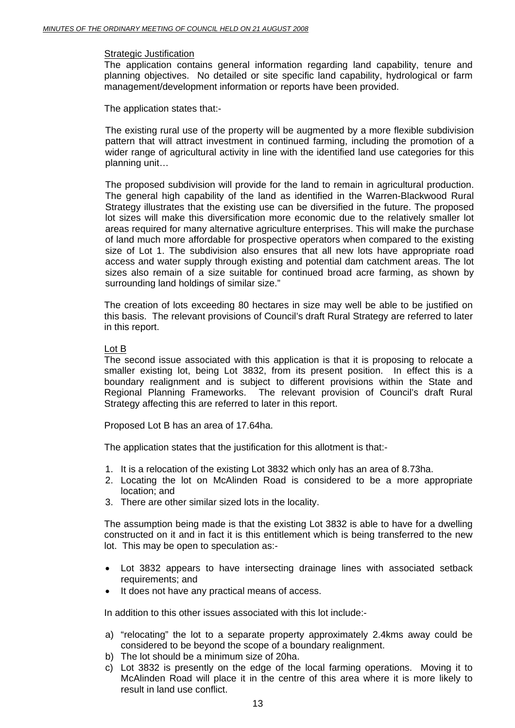#### Strategic Justification

The application contains general information regarding land capability, tenure and planning objectives. No detailed or site specific land capability, hydrological or farm management/development information or reports have been provided.

The application states that:-

The existing rural use of the property will be augmented by a more flexible subdivision pattern that will attract investment in continued farming, including the promotion of a wider range of agricultural activity in line with the identified land use categories for this planning unit…

The proposed subdivision will provide for the land to remain in agricultural production. The general high capability of the land as identified in the Warren-Blackwood Rural Strategy illustrates that the existing use can be diversified in the future. The proposed lot sizes will make this diversification more economic due to the relatively smaller lot areas required for many alternative agriculture enterprises. This will make the purchase of land much more affordable for prospective operators when compared to the existing size of Lot 1. The subdivision also ensures that all new lots have appropriate road access and water supply through existing and potential dam catchment areas. The lot sizes also remain of a size suitable for continued broad acre farming, as shown by surrounding land holdings of similar size."

The creation of lots exceeding 80 hectares in size may well be able to be justified on this basis. The relevant provisions of Council's draft Rural Strategy are referred to later in this report.

#### Lot B

The second issue associated with this application is that it is proposing to relocate a smaller existing lot, being Lot 3832, from its present position. In effect this is a boundary realignment and is subject to different provisions within the State and Regional Planning Frameworks. The relevant provision of Council's draft Rural Strategy affecting this are referred to later in this report.

Proposed Lot B has an area of 17.64ha.

The application states that the justification for this allotment is that:-

- 1. It is a relocation of the existing Lot 3832 which only has an area of 8.73ha.
- 2. Locating the lot on McAlinden Road is considered to be a more appropriate location; and
- 3. There are other similar sized lots in the locality.

The assumption being made is that the existing Lot 3832 is able to have for a dwelling constructed on it and in fact it is this entitlement which is being transferred to the new lot. This may be open to speculation as:-

- Lot 3832 appears to have intersecting drainage lines with associated setback requirements; and
- It does not have any practical means of access.

In addition to this other issues associated with this lot include:-

- a) "relocating" the lot to a separate property approximately 2.4kms away could be considered to be beyond the scope of a boundary realignment.
- b) The lot should be a minimum size of 20ha.
- c) Lot 3832 is presently on the edge of the local farming operations. Moving it to McAlinden Road will place it in the centre of this area where it is more likely to result in land use conflict.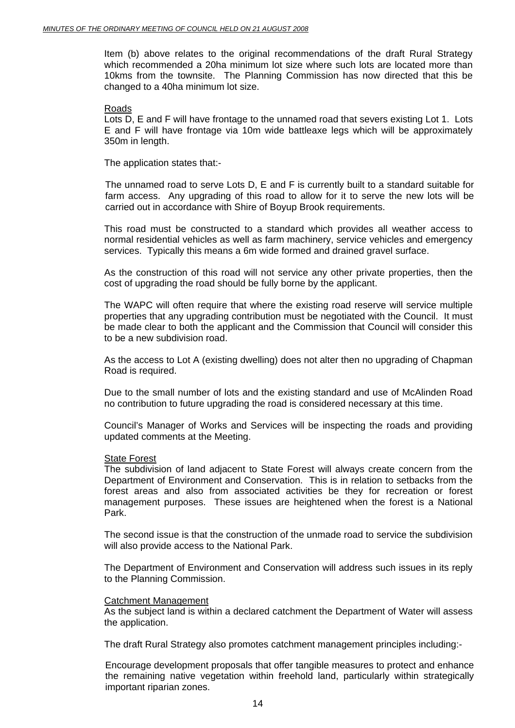Item (b) above relates to the original recommendations of the draft Rural Strategy which recommended a 20ha minimum lot size where such lots are located more than 10kms from the townsite. The Planning Commission has now directed that this be changed to a 40ha minimum lot size.

#### Roads

Lots D, E and F will have frontage to the unnamed road that severs existing Lot 1. Lots E and F will have frontage via 10m wide battleaxe legs which will be approximately 350m in length.

The application states that:-

The unnamed road to serve Lots D, E and F is currently built to a standard suitable for farm access. Any upgrading of this road to allow for it to serve the new lots will be carried out in accordance with Shire of Boyup Brook requirements.

This road must be constructed to a standard which provides all weather access to normal residential vehicles as well as farm machinery, service vehicles and emergency services. Typically this means a 6m wide formed and drained gravel surface.

As the construction of this road will not service any other private properties, then the cost of upgrading the road should be fully borne by the applicant.

The WAPC will often require that where the existing road reserve will service multiple properties that any upgrading contribution must be negotiated with the Council. It must be made clear to both the applicant and the Commission that Council will consider this to be a new subdivision road.

As the access to Lot A (existing dwelling) does not alter then no upgrading of Chapman Road is required.

Due to the small number of lots and the existing standard and use of McAlinden Road no contribution to future upgrading the road is considered necessary at this time.

Council's Manager of Works and Services will be inspecting the roads and providing updated comments at the Meeting.

#### State Forest

The subdivision of land adjacent to State Forest will always create concern from the Department of Environment and Conservation. This is in relation to setbacks from the forest areas and also from associated activities be they for recreation or forest management purposes. These issues are heightened when the forest is a National Park.

The second issue is that the construction of the unmade road to service the subdivision will also provide access to the National Park.

The Department of Environment and Conservation will address such issues in its reply to the Planning Commission.

#### Catchment Management

As the subject land is within a declared catchment the Department of Water will assess the application.

The draft Rural Strategy also promotes catchment management principles including:-

Encourage development proposals that offer tangible measures to protect and enhance the remaining native vegetation within freehold land, particularly within strategically important riparian zones.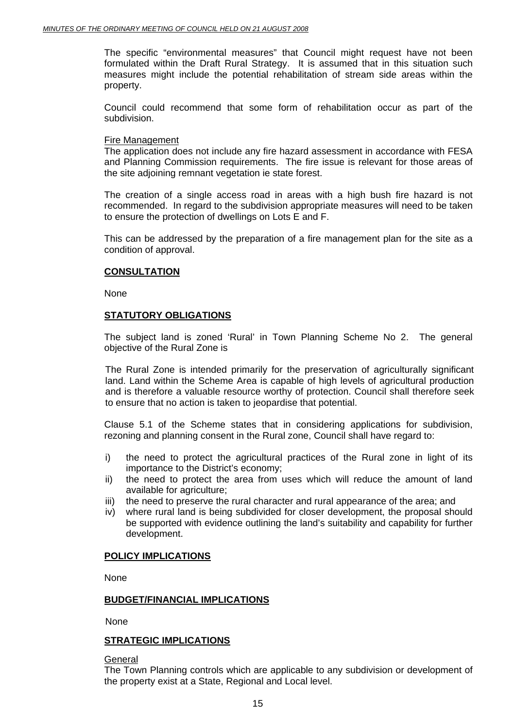The specific "environmental measures" that Council might request have not been formulated within the Draft Rural Strategy. It is assumed that in this situation such measures might include the potential rehabilitation of stream side areas within the property.

Council could recommend that some form of rehabilitation occur as part of the subdivision.

#### Fire Management

The application does not include any fire hazard assessment in accordance with FESA and Planning Commission requirements. The fire issue is relevant for those areas of the site adjoining remnant vegetation ie state forest.

The creation of a single access road in areas with a high bush fire hazard is not recommended. In regard to the subdivision appropriate measures will need to be taken to ensure the protection of dwellings on Lots E and F.

This can be addressed by the preparation of a fire management plan for the site as a condition of approval.

#### **CONSULTATION**

None

# **STATUTORY OBLIGATIONS**

The subject land is zoned 'Rural' in Town Planning Scheme No 2. The general objective of the Rural Zone is

The Rural Zone is intended primarily for the preservation of agriculturally significant land. Land within the Scheme Area is capable of high levels of agricultural production and is therefore a valuable resource worthy of protection. Council shall therefore seek to ensure that no action is taken to jeopardise that potential.

Clause 5.1 of the Scheme states that in considering applications for subdivision, rezoning and planning consent in the Rural zone, Council shall have regard to:

- i) the need to protect the agricultural practices of the Rural zone in light of its importance to the District's economy;
- ii) the need to protect the area from uses which will reduce the amount of land available for agriculture;
- iii) the need to preserve the rural character and rural appearance of the area; and
- iv) where rural land is being subdivided for closer development, the proposal should be supported with evidence outlining the land's suitability and capability for further development.

# **POLICY IMPLICATIONS**

None

#### **BUDGET/FINANCIAL IMPLICATIONS**

None

# **STRATEGIC IMPLICATIONS**

#### General

The Town Planning controls which are applicable to any subdivision or development of the property exist at a State, Regional and Local level.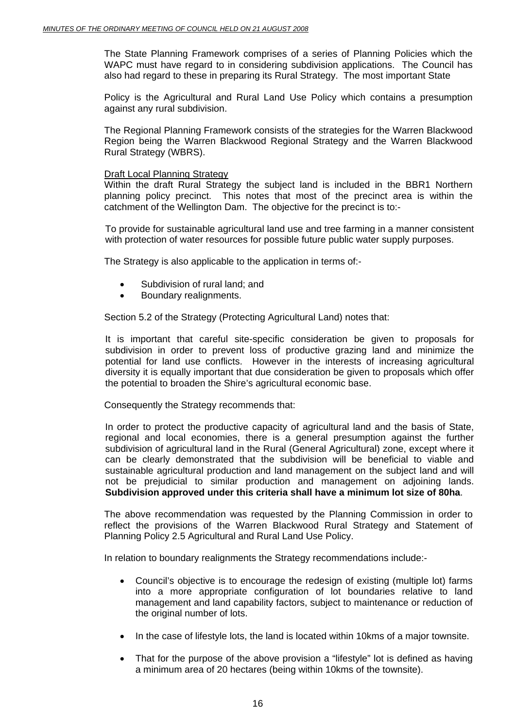The State Planning Framework comprises of a series of Planning Policies which the WAPC must have regard to in considering subdivision applications. The Council has also had regard to these in preparing its Rural Strategy. The most important State

Policy is the Agricultural and Rural Land Use Policy which contains a presumption against any rural subdivision.

The Regional Planning Framework consists of the strategies for the Warren Blackwood Region being the Warren Blackwood Regional Strategy and the Warren Blackwood Rural Strategy (WBRS).

#### Draft Local Planning Strategy

Within the draft Rural Strategy the subject land is included in the BBR1 Northern planning policy precinct. This notes that most of the precinct area is within the catchment of the Wellington Dam. The objective for the precinct is to:-

To provide for sustainable agricultural land use and tree farming in a manner consistent with protection of water resources for possible future public water supply purposes.

The Strategy is also applicable to the application in terms of:-

- Subdivision of rural land; and
- Boundary realignments.

Section 5.2 of the Strategy (Protecting Agricultural Land) notes that:

It is important that careful site-specific consideration be given to proposals for subdivision in order to prevent loss of productive grazing land and minimize the potential for land use conflicts. However in the interests of increasing agricultural diversity it is equally important that due consideration be given to proposals which offer the potential to broaden the Shire's agricultural economic base.

Consequently the Strategy recommends that:

In order to protect the productive capacity of agricultural land and the basis of State, regional and local economies, there is a general presumption against the further subdivision of agricultural land in the Rural (General Agricultural) zone, except where it can be clearly demonstrated that the subdivision will be beneficial to viable and sustainable agricultural production and land management on the subject land and will not be prejudicial to similar production and management on adjoining lands. **Subdivision approved under this criteria shall have a minimum lot size of 80ha**.

The above recommendation was requested by the Planning Commission in order to reflect the provisions of the Warren Blackwood Rural Strategy and Statement of Planning Policy 2.5 Agricultural and Rural Land Use Policy.

In relation to boundary realignments the Strategy recommendations include:-

- Council's objective is to encourage the redesign of existing (multiple lot) farms into a more appropriate configuration of lot boundaries relative to land management and land capability factors, subject to maintenance or reduction of the original number of lots.
- In the case of lifestyle lots, the land is located within 10kms of a major townsite.
- That for the purpose of the above provision a "lifestyle" lot is defined as having a minimum area of 20 hectares (being within 10kms of the townsite).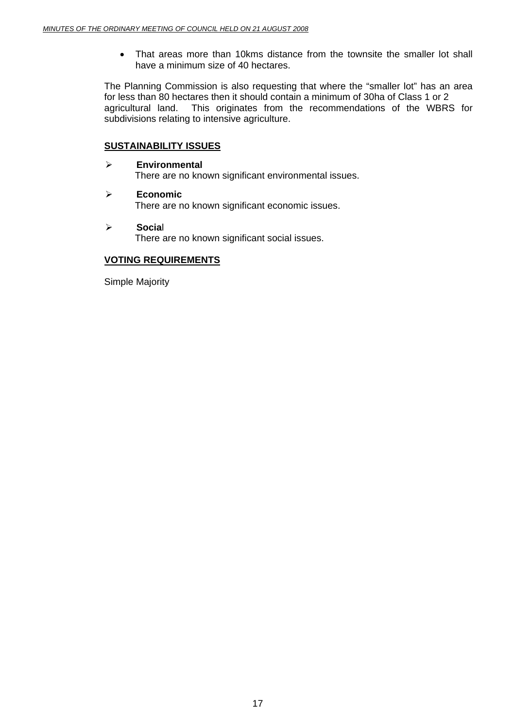• That areas more than 10kms distance from the townsite the smaller lot shall have a minimum size of 40 hectares.

The Planning Commission is also requesting that where the "smaller lot" has an area for less than 80 hectares then it should contain a minimum of 30ha of Class 1 or 2 agricultural land. This originates from the recommendations of the WBRS for subdivisions relating to intensive agriculture.

# **SUSTAINABILITY ISSUES**

- ¾ **Environmental**  There are no known significant environmental issues.
- ¾ **Economic**  There are no known significant economic issues.
- ¾ **Socia**l There are no known significant social issues.

#### **VOTING REQUIREMENTS**

Simple Majority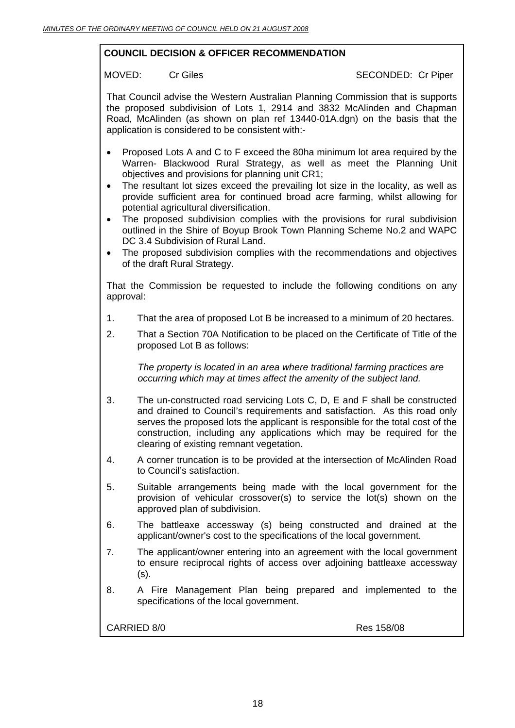# **COUNCIL DECISION & OFFICER RECOMMENDATION**

MOVED: Cr Giles Cr Cites SECONDED: Cr Piper

That Council advise the Western Australian Planning Commission that is supports the proposed subdivision of Lots 1, 2914 and 3832 McAlinden and Chapman Road, McAlinden (as shown on plan ref 13440-01A.dgn) on the basis that the application is considered to be consistent with:-

- Proposed Lots A and C to F exceed the 80ha minimum lot area required by the Warren- Blackwood Rural Strategy, as well as meet the Planning Unit objectives and provisions for planning unit CR1;
- The resultant lot sizes exceed the prevailing lot size in the locality, as well as provide sufficient area for continued broad acre farming, whilst allowing for potential agricultural diversification.
- The proposed subdivision complies with the provisions for rural subdivision outlined in the Shire of Boyup Brook Town Planning Scheme No.2 and WAPC DC 3.4 Subdivision of Rural Land.
- The proposed subdivision complies with the recommendations and objectives of the draft Rural Strategy.

That the Commission be requested to include the following conditions on any approval:

- 1. That the area of proposed Lot B be increased to a minimum of 20 hectares.
- 2. That a Section 70A Notification to be placed on the Certificate of Title of the proposed Lot B as follows:

*The property is located in an area where traditional farming practices are occurring which may at times affect the amenity of the subject land.* 

- 3. The un-constructed road servicing Lots C, D, E and F shall be constructed and drained to Council's requirements and satisfaction. As this road only serves the proposed lots the applicant is responsible for the total cost of the construction, including any applications which may be required for the clearing of existing remnant vegetation.
- 4. A corner truncation is to be provided at the intersection of McAlinden Road to Council's satisfaction.
- 5. Suitable arrangements being made with the local government for the provision of vehicular crossover(s) to service the lot(s) shown on the approved plan of subdivision.
- 6. The battleaxe accessway (s) being constructed and drained at the applicant/owner's cost to the specifications of the local government.
- 7. The applicant/owner entering into an agreement with the local government to ensure reciprocal rights of access over adjoining battleaxe accessway (s).
- 8. A Fire Management Plan being prepared and implemented to the specifications of the local government.

CARRIED 8/0 Res 158/08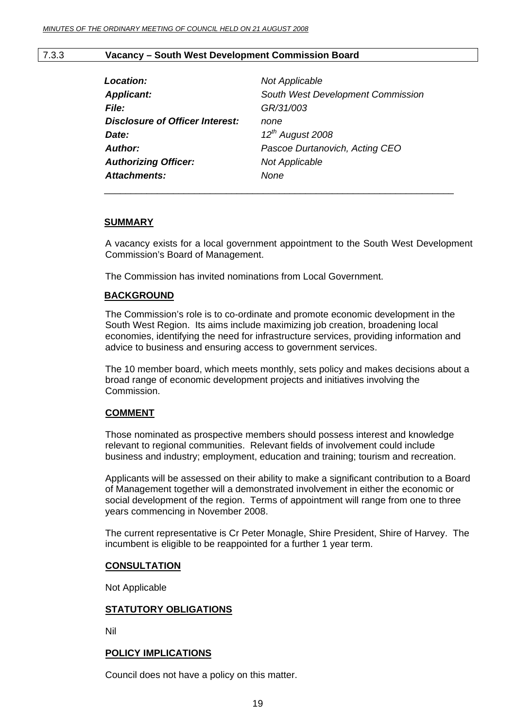#### 7.3.3 **Vacancy – South West Development Commission Board**

| Location:                              | Not Applicable                    |
|----------------------------------------|-----------------------------------|
| <b>Applicant:</b>                      | South West Development Commission |
| <b>File:</b>                           | GR/31/003                         |
| <b>Disclosure of Officer Interest:</b> | none                              |
| Date:                                  | $12^{th}$ August 2008             |
| <b>Author:</b>                         | Pascoe Durtanovich, Acting CEO    |
| <b>Authorizing Officer:</b>            | <b>Not Applicable</b>             |
| <b>Attachments:</b>                    | None                              |
|                                        |                                   |

#### **SUMMARY**

A vacancy exists for a local government appointment to the South West Development Commission's Board of Management.

The Commission has invited nominations from Local Government.

#### **BACKGROUND**

The Commission's role is to co-ordinate and promote economic development in the South West Region. Its aims include maximizing job creation, broadening local economies, identifying the need for infrastructure services, providing information and advice to business and ensuring access to government services.

The 10 member board, which meets monthly, sets policy and makes decisions about a broad range of economic development projects and initiatives involving the Commission.

#### **COMMENT**

Those nominated as prospective members should possess interest and knowledge relevant to regional communities. Relevant fields of involvement could include business and industry; employment, education and training; tourism and recreation.

Applicants will be assessed on their ability to make a significant contribution to a Board of Management together will a demonstrated involvement in either the economic or social development of the region. Terms of appointment will range from one to three years commencing in November 2008.

The current representative is Cr Peter Monagle, Shire President, Shire of Harvey. The incumbent is eligible to be reappointed for a further 1 year term.

#### **CONSULTATION**

Not Applicable

#### **STATUTORY OBLIGATIONS**

Nil

#### **POLICY IMPLICATIONS**

Council does not have a policy on this matter.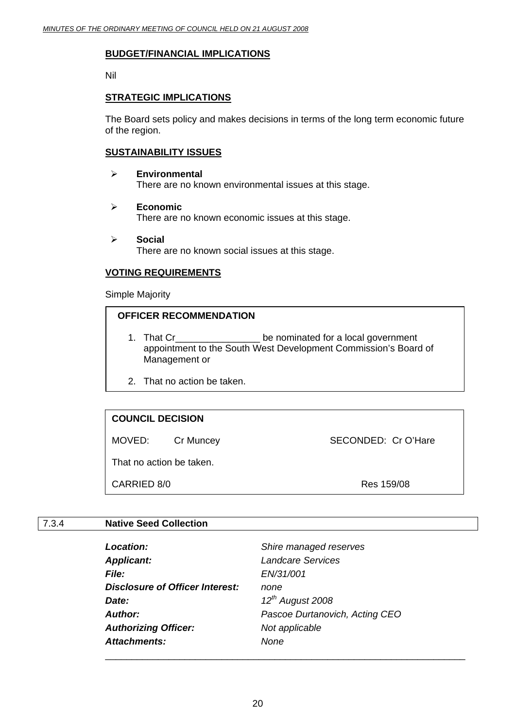#### **BUDGET/FINANCIAL IMPLICATIONS**

Nil

#### **STRATEGIC IMPLICATIONS**

The Board sets policy and makes decisions in terms of the long term economic future of the region.

### **SUSTAINABILITY ISSUES**

- ¾ **Environmental**  There are no known environmental issues at this stage.
- ¾ **Economic**  There are no known economic issues at this stage.
- ¾ **Social**  There are no known social issues at this stage.

# **VOTING REQUIREMENTS**

Simple Majority

# **OFFICER RECOMMENDATION**

- 1. That Cr\_\_\_\_\_\_\_\_\_\_\_\_\_\_\_\_ be nominated for a local government appointment to the South West Development Commission's Board of Management or
- 2. That no action be taken.

# **COUNCIL DECISION**

MOVED: Cr Muncey SECONDED: Cr O'Hare

That no action be taken.

CARRIED 8/0 Res 159/08

# 7.3.4 **Native Seed Collection**

| Location:                       | Shire managed reserves         |
|---------------------------------|--------------------------------|
| <b>Applicant:</b>               | <b>Landcare Services</b>       |
| <i>File:</i>                    | EN/31/001                      |
| Disclosure of Officer Interest: | none                           |
| Date:                           | $12^{th}$ August 2008          |
| Author:                         | Pascoe Durtanovich, Acting CEO |
| <b>Authorizing Officer:</b>     | Not applicable                 |
| <b>Attachments:</b>             | None                           |
|                                 |                                |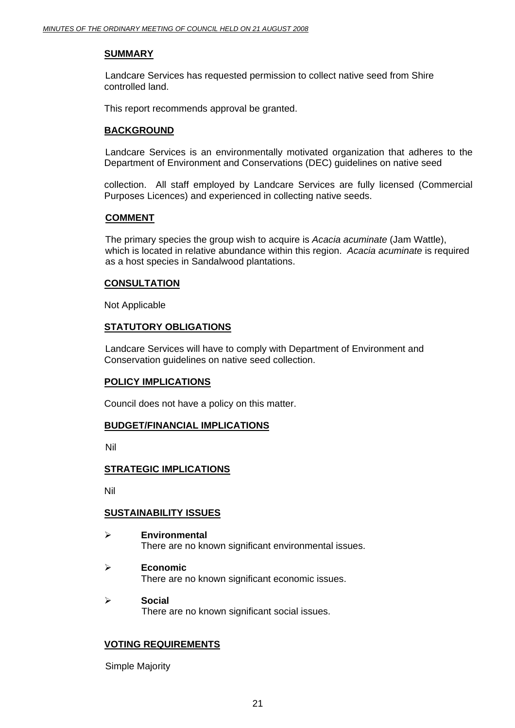### **SUMMARY**

 Landcare Services has requested permission to collect native seed from Shire controlled land.

This report recommends approval be granted.

# **BACKGROUND**

 Landcare Services is an environmentally motivated organization that adheres to the Department of Environment and Conservations (DEC) guidelines on native seed

collection. All staff employed by Landcare Services are fully licensed (Commercial Purposes Licences) and experienced in collecting native seeds.

#### **COMMENT**

The primary species the group wish to acquire is *Acacia acuminate* (Jam Wattle), which is located in relative abundance within this region. *Acacia acuminate* is required as a host species in Sandalwood plantations.

#### **CONSULTATION**

Not Applicable

# **STATUTORY OBLIGATIONS**

 Landcare Services will have to comply with Department of Environment and Conservation guidelines on native seed collection.

#### **POLICY IMPLICATIONS**

Council does not have a policy on this matter.

# **BUDGET/FINANCIAL IMPLICATIONS**

Nil

# **STRATEGIC IMPLICATIONS**

Nil

# **SUSTAINABILITY ISSUES**

- ¾ **Environmental**  There are no known significant environmental issues.
- ¾ **Economic**  There are no known significant economic issues.
- ¾ **Social**  There are no known significant social issues.

# **VOTING REQUIREMENTS**

Simple Majority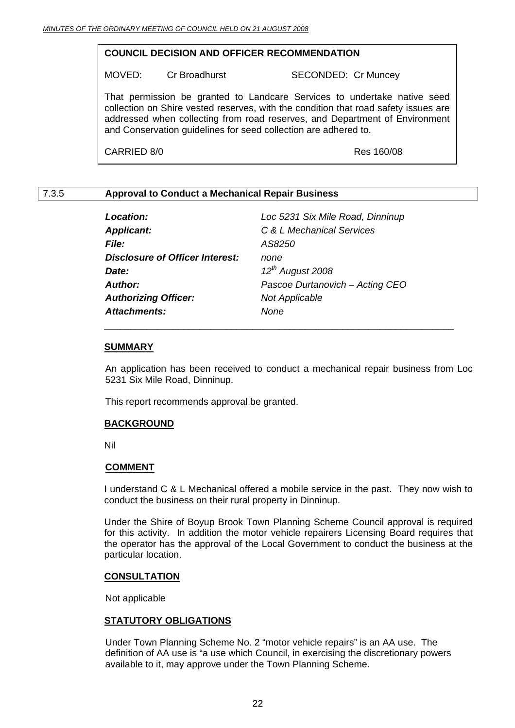### **COUNCIL DECISION AND OFFICER RECOMMENDATION**

MOVED: Cr Broadhurst SECONDED: Cr Muncey

That permission be granted to Landcare Services to undertake native seed collection on Shire vested reserves, with the condition that road safety issues are addressed when collecting from road reserves, and Department of Environment and Conservation guidelines for seed collection are adhered to.

CARRIED 8/0 Res 160/08

# 7.3.5 **Approval to Conduct a Mechanical Repair Business**

| <b>Location:</b>                       | Loc 5231 Six Mile Road, Dinninup |
|----------------------------------------|----------------------------------|
| <b>Applicant:</b>                      | C & L Mechanical Services        |
| <b>File:</b>                           | AS8250                           |
| <b>Disclosure of Officer Interest:</b> | none                             |
| Date:                                  | $12^{th}$ August 2008            |
| <b>Author:</b>                         | Pascoe Durtanovich - Acting CEO  |
| <b>Authorizing Officer:</b>            | <b>Not Applicable</b>            |
| <b>Attachments:</b>                    | None                             |
|                                        |                                  |

#### **SUMMARY**

 An application has been received to conduct a mechanical repair business from Loc 5231 Six Mile Road, Dinninup.

This report recommends approval be granted.

#### **BACKGROUND**

Nil

#### **COMMENT**

I understand C & L Mechanical offered a mobile service in the past. They now wish to conduct the business on their rural property in Dinninup.

Under the Shire of Boyup Brook Town Planning Scheme Council approval is required for this activity. In addition the motor vehicle repairers Licensing Board requires that the operator has the approval of the Local Government to conduct the business at the particular location.

#### **CONSULTATION**

Not applicable

# **STATUTORY OBLIGATIONS**

Under Town Planning Scheme No. 2 "motor vehicle repairs" is an AA use. The definition of AA use is "a use which Council, in exercising the discretionary powers available to it, may approve under the Town Planning Scheme.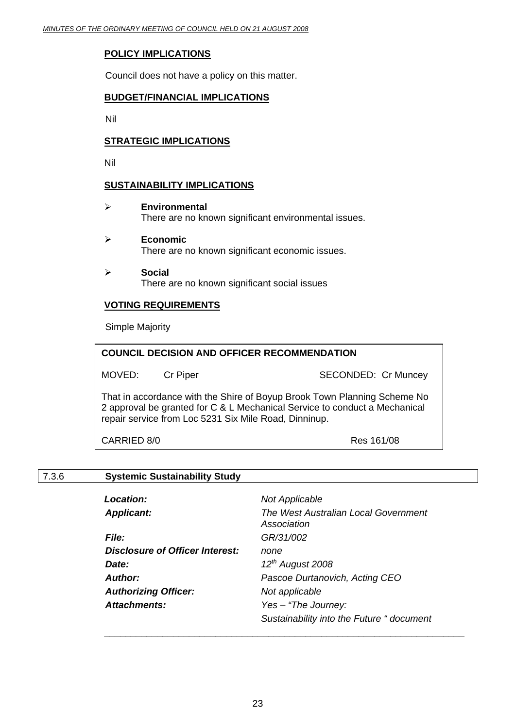# **POLICY IMPLICATIONS**

Council does not have a policy on this matter.

# **BUDGET/FINANCIAL IMPLICATIONS**

Nil

# **STRATEGIC IMPLICATIONS**

Nil

# **SUSTAINABILITY IMPLICATIONS**

- ¾ **Environmental**  There are no known significant environmental issues.
- ¾ **Economic**  There are no known significant economic issues.
- ¾ **Social**  There are no known significant social issues

# **VOTING REQUIREMENTS**

Simple Majority

| <b>COUNCIL DECISION AND OFFICER RECOMMENDATION</b>                                                                                                                                                              |                 |                            |
|-----------------------------------------------------------------------------------------------------------------------------------------------------------------------------------------------------------------|-----------------|----------------------------|
| MOVED:                                                                                                                                                                                                          | <b>Cr Piper</b> | <b>SECONDED: Cr Muncey</b> |
| That in accordance with the Shire of Boyup Brook Town Planning Scheme No<br>2 approval be granted for C & L Mechanical Service to conduct a Mechanical<br>repair service from Loc 5231 Six Mile Road, Dinninup. |                 |                            |
| CARRIED 8/0                                                                                                                                                                                                     |                 | Res 161/08                 |

# 7.3.6 **Systemic Sustainability Study**

| <b>Location:</b>                       | <b>Not Applicable</b>                               |
|----------------------------------------|-----------------------------------------------------|
| <b>Applicant:</b>                      | The West Australian Local Government<br>Association |
| <b>File:</b>                           | GR/31/002                                           |
| <b>Disclosure of Officer Interest:</b> | none                                                |
| Date:                                  | $12^{th}$ August 2008                               |
| Author:                                | Pascoe Durtanovich, Acting CEO                      |
| <b>Authorizing Officer:</b>            | Not applicable                                      |
| <b>Attachments:</b>                    | Yes - "The Journey:                                 |
|                                        | Sustainability into the Future " document           |

\_\_\_\_\_\_\_\_\_\_\_\_\_\_\_\_\_\_\_\_\_\_\_\_\_\_\_\_\_\_\_\_\_\_\_\_\_\_\_\_\_\_\_\_\_\_\_\_\_\_\_\_\_\_\_\_\_\_\_\_\_\_\_\_\_\_\_\_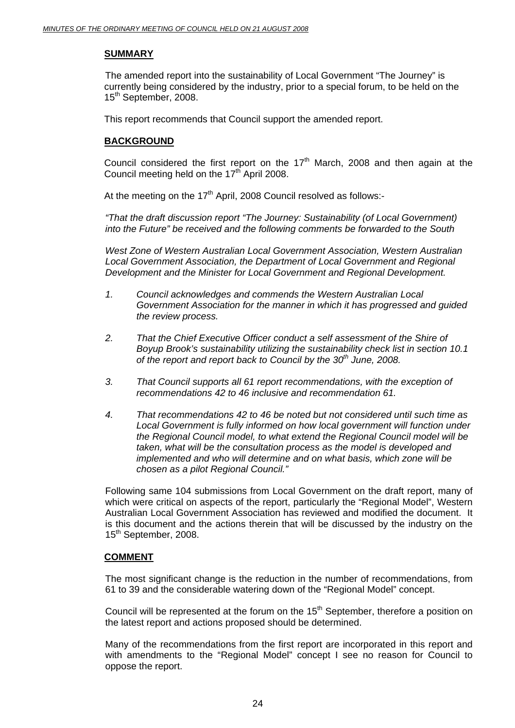# **SUMMARY**

 The amended report into the sustainability of Local Government "The Journey" is currently being considered by the industry, prior to a special forum, to be held on the 15<sup>th</sup> September, 2008.

This report recommends that Council support the amended report.

# **BACKGROUND**

Council considered the first report on the  $17<sup>th</sup>$  March, 2008 and then again at the Council meeting held on the 17<sup>th</sup> April 2008.

At the meeting on the  $17<sup>th</sup>$  April, 2008 Council resolved as follows:-

*"That the draft discussion report "The Journey: Sustainability (of Local Government) into the Future" be received and the following comments be forwarded to the South* 

*West Zone of Western Australian Local Government Association, Western Australian*  Local Government Association, the Department of Local Government and Regional *Development and the Minister for Local Government and Regional Development.* 

- *1. Council acknowledges and commends the Western Australian Local Government Association for the manner in which it has progressed and guided the review process.*
- *2. That the Chief Executive Officer conduct a self assessment of the Shire of Boyup Brook's sustainability utilizing the sustainability check list in section 10.1 of the report and report back to Council by the 30th June, 2008.*
- *3. That Council supports all 61 report recommendations, with the exception of recommendations 42 to 46 inclusive and recommendation 61.*
- *4. That recommendations 42 to 46 be noted but not considered until such time as Local Government is fully informed on how local government will function under the Regional Council model, to what extend the Regional Council model will be taken, what will be the consultation process as the model is developed and implemented and who will determine and on what basis, which zone will be chosen as a pilot Regional Council."*

Following same 104 submissions from Local Government on the draft report, many of which were critical on aspects of the report, particularly the "Regional Model", Western Australian Local Government Association has reviewed and modified the document. It is this document and the actions therein that will be discussed by the industry on the 15<sup>th</sup> September, 2008.

# **COMMENT**

The most significant change is the reduction in the number of recommendations, from 61 to 39 and the considerable watering down of the "Regional Model" concept.

Council will be represented at the forum on the  $15<sup>th</sup>$  September, therefore a position on the latest report and actions proposed should be determined.

Many of the recommendations from the first report are incorporated in this report and with amendments to the "Regional Model" concept I see no reason for Council to oppose the report.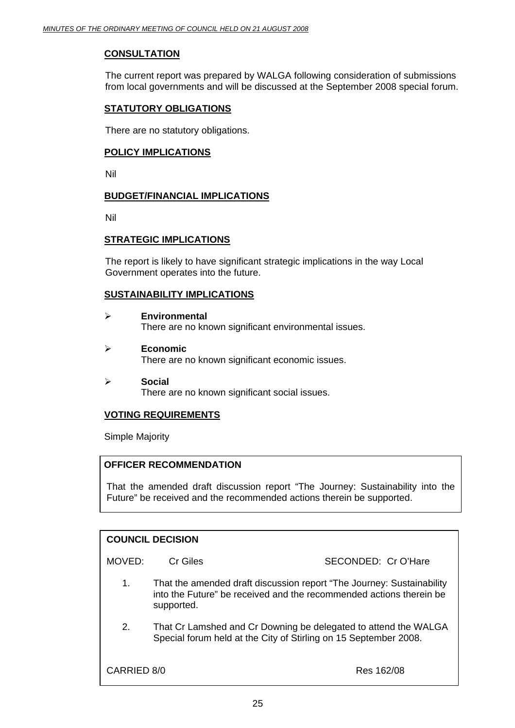# **CONSULTATION**

The current report was prepared by WALGA following consideration of submissions from local governments and will be discussed at the September 2008 special forum.

# **STATUTORY OBLIGATIONS**

There are no statutory obligations.

### **POLICY IMPLICATIONS**

Nil

# **BUDGET/FINANCIAL IMPLICATIONS**

Nil

# **STRATEGIC IMPLICATIONS**

The report is likely to have significant strategic implications in the way Local Government operates into the future.

# **SUSTAINABILITY IMPLICATIONS**

- ¾ **Environmental**  There are no known significant environmental issues.
- ¾ **Economic**  There are no known significant economic issues.
- ¾ **Social**  There are no known significant social issues.

# **VOTING REQUIREMENTS**

Simple Majority

# **OFFICER RECOMMENDATION**

That the amended draft discussion report "The Journey: Sustainability into the Future" be received and the recommended actions therein be supported.

| <b>COUNCIL DECISION</b>   |            |                                                                                                                                              |
|---------------------------|------------|----------------------------------------------------------------------------------------------------------------------------------------------|
| MOVED:                    | Cr Giles   | SECONDED: Cr O'Hare                                                                                                                          |
| 1.                        | supported. | That the amended draft discussion report "The Journey: Sustainability<br>into the Future" be received and the recommended actions therein be |
| 2.                        |            | That Cr Lamshed and Cr Downing be delegated to attend the WALGA<br>Special forum held at the City of Stirling on 15 September 2008.          |
| CARRIED 8/0<br>Res 162/08 |            |                                                                                                                                              |